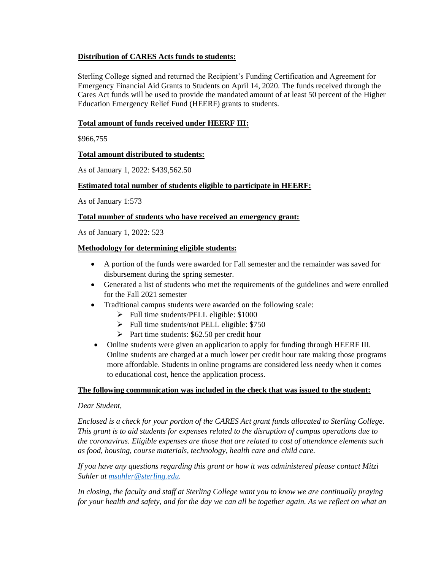# **Distribution of CARES Acts funds to students:**

Sterling College signed and returned the Recipient's Funding Certification and Agreement for Emergency Financial Aid Grants to Students on April 14, 2020. The funds received through the Cares Act funds will be used to provide the mandated amount of at least 50 percent of the Higher Education Emergency Relief Fund (HEERF) grants to students.

## **Total amount of funds received under HEERF III:**

\$966,755

# **Total amount distributed to students:**

As of January 1, 2022: \$439,562.50

# **Estimated total number of students eligible to participate in HEERF:**

As of January 1:573

### **Total number of students who have received an emergency grant:**

As of January 1, 2022: 523

# **Methodology for determining eligible students:**

- A portion of the funds were awarded for Fall semester and the remainder was saved for disbursement during the spring semester.
- Generated a list of students who met the requirements of the guidelines and were enrolled for the Fall 2021 semester
- Traditional campus students were awarded on the following scale:
	- ➢ Full time students/PELL eligible: \$1000
	- $\triangleright$  Full time students/not PELL eligible: \$750
	- ➢ Part time students: \$62.50 per credit hour
- Online students were given an application to apply for funding through HEERF III. Online students are charged at a much lower per credit hour rate making those programs more affordable. Students in online programs are considered less needy when it comes to educational cost, hence the application process.

### **The following communication was included in the check that was issued to the student:**

### *Dear Student,*

*Enclosed is a check for your portion of the CARES Act grant funds allocated to Sterling College. This grant is to aid students for expenses related to the disruption of campus operations due to the coronavirus. Eligible expenses are those that are related to cost of attendance elements such as food, housing, course materials, technology, health care and child care.* 

*If you have any questions regarding this grant or how it was administered please contact Mitzi Suhler at [msuhler@sterling.edu.](mailto:msuhler@sterling.edu)* 

*In closing, the faculty and staff at Sterling College want you to know we are continually praying for your health and safety, and for the day we can all be together again. As we reflect on what an*